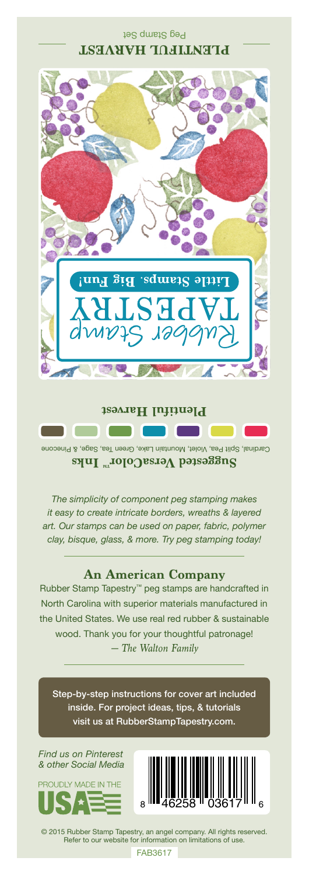## Peg Stamp Set **PLENTIFUL HARVEST**



Cardinal, Split Pea, Violet, Mountain Lake, Green Tea, Sage, & Pinecone **Suggested VersaColor** Inks

*The simplicity of component peg stamping makes it easy to create intricate borders, wreaths & layered art. Our stamps can be used on paper, fabric, polymer clay, bisque, glass, & more. Try peg stamping today!*

## **An American Company**

*— The Walton Family* Rubber Stamp Tapestry™ peg stamps are handcrafted in North Carolina with superior materials manufactured in the United States. We use real red rubber & sustainable wood. Thank you for your thoughtful patronage!

Step-by-step instructions for cover art included inside. For project ideas, tips, & tutorials visit us at RubberStampTapestry.com.

*Find us on Pinterest & other Social Media*





© 2015 Rubber Stamp Tapestry, an angel company. All rights reserved. Refer to our website for information on limitations of use.